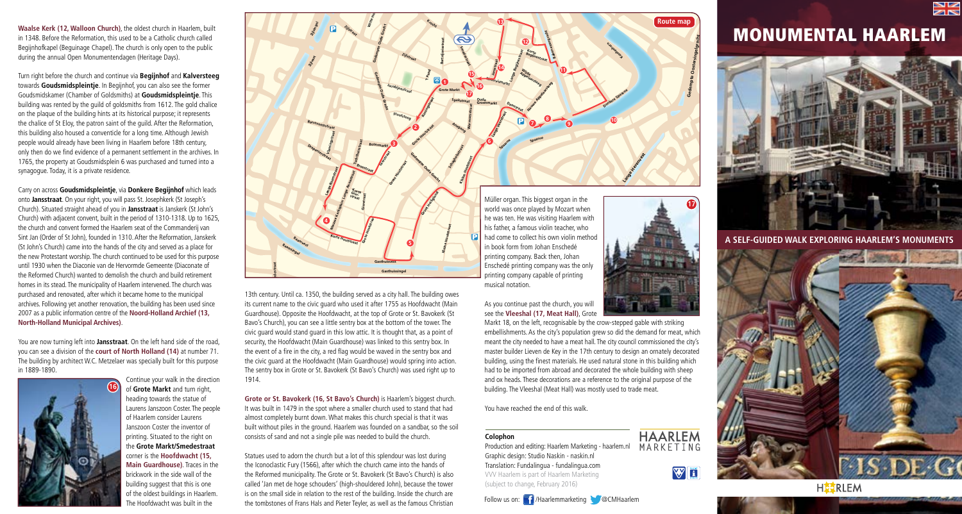

**Waalse Kerk (12, Walloon Church)**, the oldest church in Haarlem, built in 1348. Before the Reformation, this used to be a Catholic church called Begijnhofkapel (Beguinage Chapel). The church is only open to the public during the annual Open Monumentendagen (Heritage Days).

Turn right before the church and continue via **Begijnhof** and **Kalversteeg** towards **Goudsmidspleintje**. In Begijnhof, you can also see the former Goudsmidskamer (Chamber of Goldsmiths) at **Goudsmidspleintje**. This building was rented by the guild of goldsmiths from 1612. The gold chalice on the plaque of the building hints at its historical purpose; it represents the chalice of St Eloy, the patron saint of the guild. After the Reformation, this building also housed a conventicle for a long time. Although Jewish people would already have been living in Haarlem before 18th century, only then do we find evidence of a permanent settlement in the archives. In 1765, the property at Goudsmidsplein 6 was purchased and turned into a synagogue. Today, it is a private residence.

Carry on across **Goudsmidspleintje**, via **Donkere Begijnhof** which leads onto **Jansstraat**. On your right, you will pass St. Josephkerk (St Joseph's Church). Situated straight ahead of you in **Jansstraat** is Janskerk (St John's Church) with adjacent convent, built in the period of 1310-1318. Up to 1625, the church and convent formed the Haarlem seat of the Commanderij van Sint Jan (Order of St John), founded in 1310. After the Reformation, Janskerk (St John's Church) came into the hands of the city and served as a place for the new Protestant worship. The church continued to be used for this purpose until 1930 when the Diaconie van de Hervormde Gemeente (Diaconate of the Reformed Church) wanted to demolish the church and build retirement homes in its stead. The municipality of Haarlem intervened. The church was purchased and renovated, after which it became home to the municipal archives. Following yet another renovation, the building has been used since 2007 as a public information centre of the **Noord-Holland Archief (13, North-Holland Municipal Archives)**.

You are now turning left into **Jansstraat**. On the left hand side of the road, you can see a division of the **court of North Holland (14)** at number 71. The building by architect W.C. Metzelaer was specially built for this purpose in 1889-1890.





13th century. Until ca. 1350, the building served as a city hall. The building owes its current name to the civic guard who used it after 1755 as Hoofdwacht (Main Guardhouse). Opposite the Hoofdwacht, at the top of Grote or St. Bavokerk (St Bavo's Church), you can see a little sentry box at the bottom of the tower. The civic guard would stand guard in this low attic. It is thought that, as a point of **Frederikspark** civic guard would stand guard in this low attic. It is thought that, as a point o<br>security, the Hoofdwacht (Main Guardhouse) was linked to this sentry box. In the event of a fire in the city, a red flag would be waved in the sentry box and **Dreef** the civic guard at the Hoofdwacht (Main Guardhouse) would spring into action. The sentry box in Grote or St. Bavokerk (St Bavo's Church) was used right up to 1914. 1914. uildii<br>vach<br>wok **Forapy**<br> **Florapy**<br> **Florapy**<br> **Florapy**<br> **Florapy**<br> **Florapy**<br> **Florapy**<br> **Florapy** 

**Gasthuissingel**

**Grote or St. Bavokerk (16, St Bavo's Church)** is Haarlem's biggest church. It was built in 1479 in the spot where a smaller church used to stand that had almost completely burnt down. What makes this church special is that it was built without piles in the ground. Haarlem was founded on a sandbar, so the soil paint without plies in the ground: Haanem was founded on a sandbar, so the consists of sand and not a single pile was needed to build the church.

Statues used to adorn the church but a lot of this splendour was lost during the Iconoclastic Fury (1566), after which the church came into the hands of the Reformed municipality. The Grote or St. Bavokerk (St Bavo's Church) is a called 'Jan met de hoge schouders' (high-shouldered John), because th the Reformed municipality. The Grote or St. Bavokerk (St Bavo's Church) is also called 'Jan met de hoge schouders' (high-shouldered John), because the tower is on the small side in relation to the rest of the building. Inside the church are the tombstones of Frans Hals and Pieter Teyler, as well as the famous Christian the tombstones of Frans Hals and Pieter Teyler, as well as the famous Christian

printing company. Back then, Jonan<br>Enschedé printing company was the only **Schalkwijkerstraat** printing company capable of printing musical notation.

As you continue past the church, you will see the **Vleeshal (17, Meat Hall)**, Grote

**Rustenburgerlaan** building. The Vleeshal (Meat Hall) was mostly used to trade meat. meant the city needed to have a meat hall. The city council commissioned the city's master builder Lieven de Key in the 17th century to design an ornately decorated building, using the finest materials. He used natural sto embellishments. As the city's population grew so did the demand for meat, which<br>meant the city needed to have a meat hall. The city council commissioned the city's<br>master builder Lieven de Key in the 17th century to design Markt 18, on the left, recognisable by the crow-stepped gable with striking master builder Lieven de Key in the 17th century to design an ornately decorated building, using the finest materials. He used natural stone in this building which had to be imported from abroad and decorated the whole building with sheep and ox heads. These decorations are a reference to the original purpose of the

**17**

**HAARLEM** MARKFTING

WI

**Gedempte Oostersingelgracht**

**13 Route map**

You have reached the end of this walk.

## **Colophon**

**Production and editing. Haanem Marketin**<br>Graphic design: Studio Naskin - naskin.nl Production and editing: Haarlem Marketing - haarlem.nl Translation: Fundalingua - fundalingua.com VVV Haarlem is part of Haarlem Marketing (subject to change, February 2016)



## MONUMENTAL HAARLEM



**A SELF-GUIDED WALK EXPLORING HAARLEM'S MONUMENTS**



**HEIRLEM**